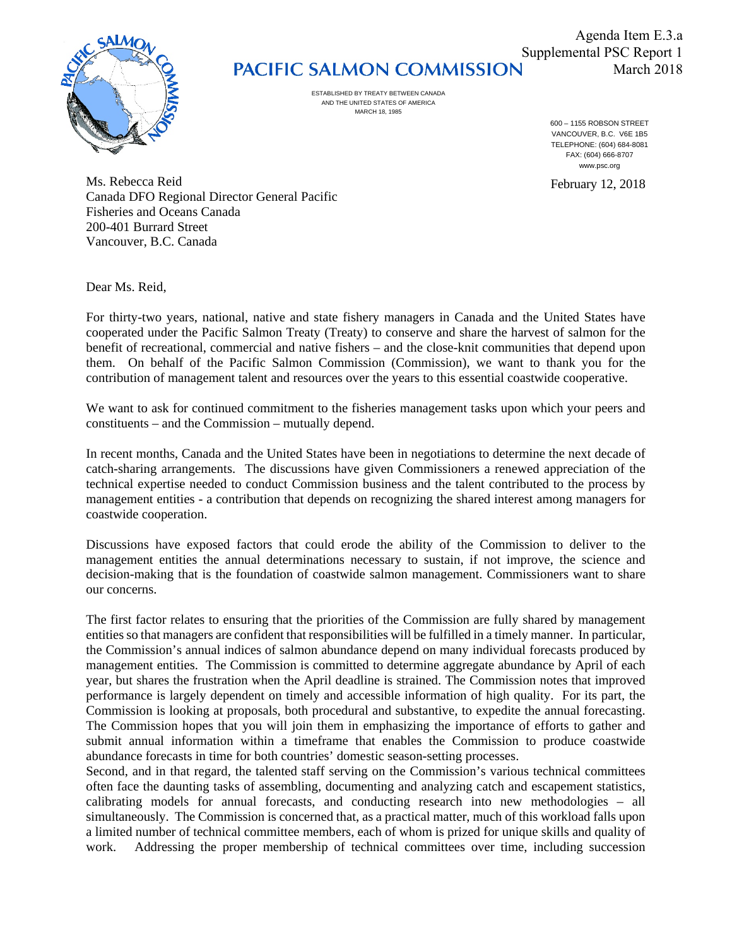

## Supplemental PSC Report 1<br>PACIFIC SALMON COMMISSION March 2018

ESTABLISHED BY TREATY BETWEEN CANADA AND THE UNITED STATES OF AMERICA MARCH 18, 1985

600 – 1155 ROBSON STREET VANCOUVER, B.C. V6E 1B5 TELEPHONE: (604) 684-8081 FAX: (604) 666-8707 www.psc.org

Ms. Rebecca Reid February 12, 2018 Canada DFO Regional Director General Pacific Fisheries and Oceans Canada 200-401 Burrard Street Vancouver, B.C. Canada

Dear Ms. Reid,

For thirty-two years, national, native and state fishery managers in Canada and the United States have cooperated under the Pacific Salmon Treaty (Treaty) to conserve and share the harvest of salmon for the benefit of recreational, commercial and native fishers – and the close-knit communities that depend upon them. On behalf of the Pacific Salmon Commission (Commission), we want to thank you for the contribution of management talent and resources over the years to this essential coastwide cooperative.

We want to ask for continued commitment to the fisheries management tasks upon which your peers and constituents – and the Commission – mutually depend.

In recent months, Canada and the United States have been in negotiations to determine the next decade of catch-sharing arrangements. The discussions have given Commissioners a renewed appreciation of the technical expertise needed to conduct Commission business and the talent contributed to the process by management entities - a contribution that depends on recognizing the shared interest among managers for coastwide cooperation.

Discussions have exposed factors that could erode the ability of the Commission to deliver to the management entities the annual determinations necessary to sustain, if not improve, the science and decision-making that is the foundation of coastwide salmon management. Commissioners want to share our concerns.

The first factor relates to ensuring that the priorities of the Commission are fully shared by management entities so that managers are confident that responsibilities will be fulfilled in a timely manner. In particular, the Commission's annual indices of salmon abundance depend on many individual forecasts produced by management entities. The Commission is committed to determine aggregate abundance by April of each year, but shares the frustration when the April deadline is strained. The Commission notes that improved performance is largely dependent on timely and accessible information of high quality. For its part, the Commission is looking at proposals, both procedural and substantive, to expedite the annual forecasting. The Commission hopes that you will join them in emphasizing the importance of efforts to gather and submit annual information within a timeframe that enables the Commission to produce coastwide abundance forecasts in time for both countries' domestic season-setting processes.

Second, and in that regard, the talented staff serving on the Commission's various technical committees often face the daunting tasks of assembling, documenting and analyzing catch and escapement statistics, calibrating models for annual forecasts, and conducting research into new methodologies – all simultaneously. The Commission is concerned that, as a practical matter, much of this workload falls upon a limited number of technical committee members, each of whom is prized for unique skills and quality of work. Addressing the proper membership of technical committees over time, including succession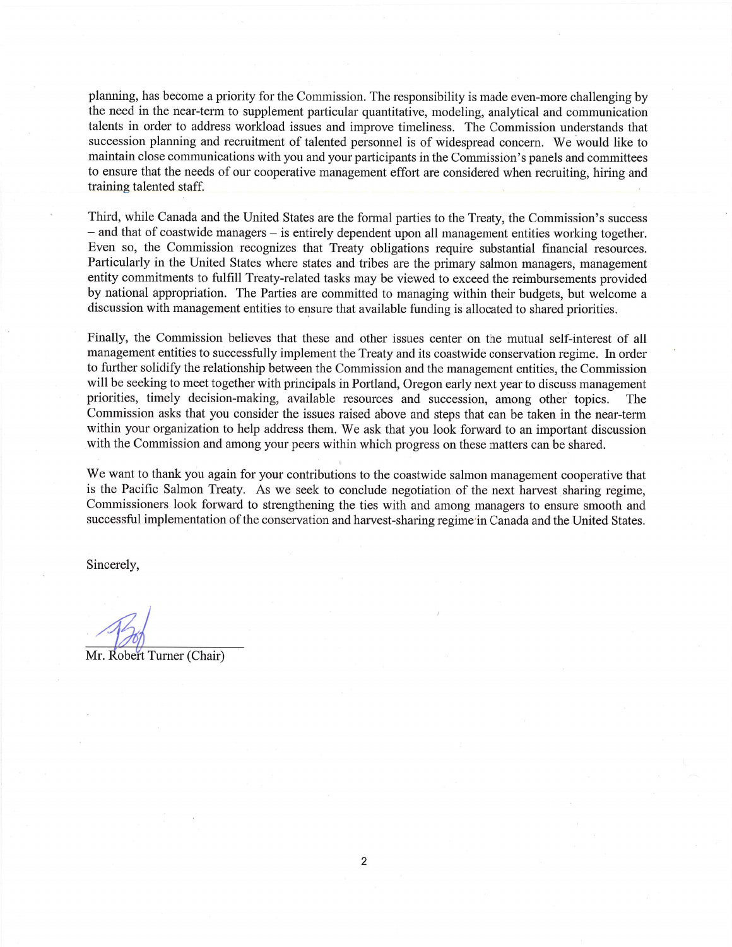planning, has become a priority for the Commission. The responsibility is made even-more challenging by the need in the near-term to supplement particular quantitative, modeling, analytical and communication talents in order to address workload issues and improve timeliness. The Commission understands that succession planning and recruitment of talented personnel is of widespread concern. We would like to maintain close communications with you and your participants in the Commission's panels and committees to ensure that the needs of our cooperative management effort are considered when recruiting, hiring and training talented staff.

Third, while Canada and the United States are the formal parties to the Treaty, the Commission's success - and that of coastwide managers - is entirely dependent upon all management entities working together. Even so, the Commission recognizes that Treaty obligations require substantial financial resources. Particularly in the United States where states and tribes are the primary salmon managers, management entity commitments to fulfill Treaty-related tasks may be viewed to exceed the reimbursements provided by national appropriation. The Parties are committed to managing within their budgets, but welcome a discussion with management entities to ensure that available funding is allocated to shared priorities.

Finally, the Commission believes that these and other issues center on the mutual self-interest of all management entities to successfully implement the Treaty and its coastwide conservation regime. In order to further solidify the relationship between the Commission and the management entities, the Commission will be seeking to meet together with principals in Portland, Oregon early next year to discuss management priorities, timely decision-making, available resources and succession, among other topics. The Commission asks that you consider the issues raised above and steps that can be taken in the near-term within your organization to help address them. We ask that you look forward to an important discussion with the Commission and among your peers within which progress on these matters can be shared.

We want to thank you again for your contributions to the coastwide salmon management cooperative that is the Pacific Salmon Treaty. As we seek to conclude negotiation of the next harvest sharing regime, Commissioners look forward to strengthening the ties with and among managers to ensure smooth and successful implementation of the conservation and harvest-sharing regime in Canada and the United States.

Sincerely,

Mr. Robert Turner (Chair)